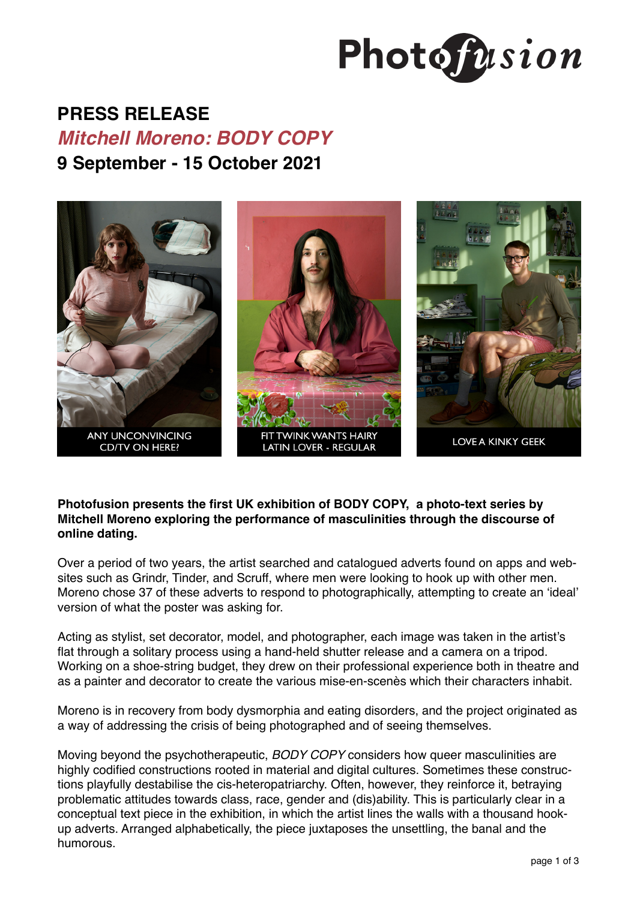

# **PRESS RELEASE**

## *Mitchell Moreno: BODY COPY*

**9 September - 15 October 2021**



**Photofusion presents the first UK exhibition of BODY COPY, a photo-text series by Mitchell Moreno exploring the performance of masculinities through the discourse of online dating.** 

Over a period of two years, the artist searched and catalogued adverts found on apps and websites such as Grindr, Tinder, and Scruff, where men were looking to hook up with other men. Moreno chose 37 of these adverts to respond to photographically, attempting to create an 'ideal' version of what the poster was asking for.

Acting as stylist, set decorator, model, and photographer, each image was taken in the artist's flat through a solitary process using a hand-held shutter release and a camera on a tripod. Working on a shoe-string budget, they drew on their professional experience both in theatre and as a painter and decorator to create the various mise-en-scenès which their characters inhabit.

Moreno is in recovery from body dysmorphia and eating disorders, and the project originated as a way of addressing the crisis of being photographed and of seeing themselves.

Moving beyond the psychotherapeutic, *BODY COPY* considers how queer masculinities are highly codified constructions rooted in material and digital cultures. Sometimes these constructions playfully destabilise the cis-heteropatriarchy. Often, however, they reinforce it, betraying problematic attitudes towards class, race, gender and (dis)ability. This is particularly clear in a conceptual text piece in the exhibition, in which the artist lines the walls with a thousand hookup adverts. Arranged alphabetically, the piece juxtaposes the unsettling, the banal and the humorous.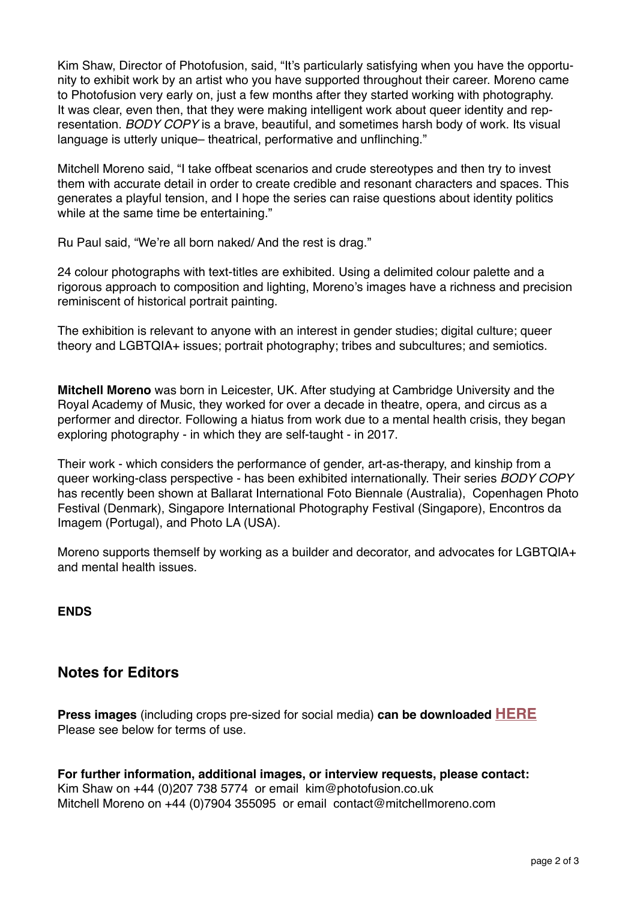Kim Shaw, Director of Photofusion, said, "It's particularly satisfying when you have the opportunity to exhibit work by an artist who you have supported throughout their career. Moreno came to Photofusion very early on, just a few months after they started working with photography. It was clear, even then, that they were making intelligent work about queer identity and representation. *BODY COPY* is a brave, beautiful, and sometimes harsh body of work. Its visual language is utterly unique– theatrical, performative and unflinching."

Mitchell Moreno said, "I take offbeat scenarios and crude stereotypes and then try to invest them with accurate detail in order to create credible and resonant characters and spaces. This generates a playful tension, and I hope the series can raise questions about identity politics while at the same time be entertaining."

Ru Paul said, "We're all born naked/ And the rest is drag."

24 colour photographs with text-titles are exhibited. Using a delimited colour palette and a rigorous approach to composition and lighting, Moreno's images have a richness and precision reminiscent of historical portrait painting.

The exhibition is relevant to anyone with an interest in gender studies; digital culture; queer theory and LGBTQIA+ issues; portrait photography; tribes and subcultures; and semiotics.

**Mitchell Moreno** was born in Leicester, UK. After studying at Cambridge University and the Royal Academy of Music, they worked for over a decade in theatre, opera, and circus as a performer and director. Following a hiatus from work due to a mental health crisis, they began exploring photography - in which they are self-taught - in 2017.

Their work - which considers the performance of gender, art-as-therapy, and kinship from a queer working-class perspective - has been exhibited internationally. Their series *BODY COPY* has recently been shown at Ballarat International Foto Biennale (Australia), Copenhagen Photo Festival (Denmark), Singapore International Photography Festival (Singapore), Encontros da Imagem (Portugal), and Photo LA (USA).

Moreno supports themself by working as a builder and decorator, and advocates for LGBTQIA+ and mental health issues.

**ENDS**

### **Notes for Editors**

**Press images** (including crops pre-sized for social media) **can be downloaded [HERE](https://drive.google.com/drive/folders/19kG76A2T7rtgDI7JaLwCH7jPumLldiOr?usp=sharing)** Please see below for terms of use.

**For further information, additional images, or interview requests, please contact:** Kim Shaw on +44 (0)207 738 5774 or email kim@photofusion.co.uk Mitchell Moreno on +44 (0)7904 355095 or email contact@mitchellmoreno.com